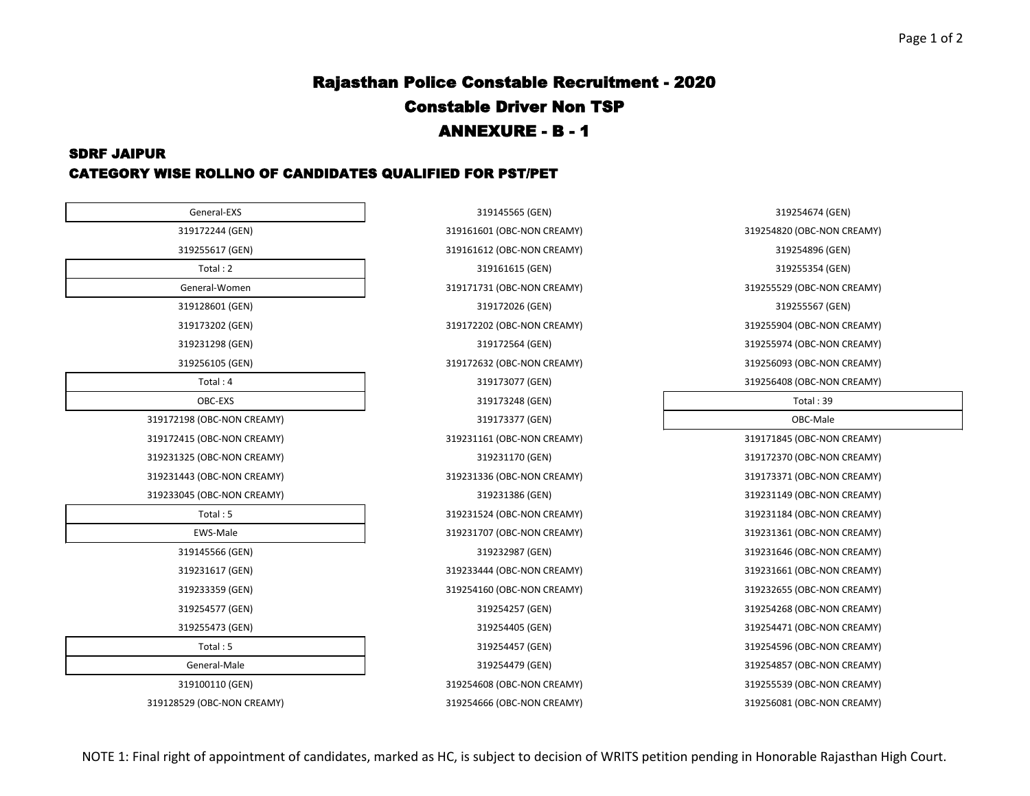#### Page 1 of 2

## Rajasthan Police Constable Recruitment - 2020 Constable Driver Non TSP ANNEXURE - B - 1

### SDRF JAIPUR CATEGORY WISE ROLLNO OF CANDIDATES QUALIFIED FOR PST/PET

| General-EXS                | 319145565 (GEN)            | 319254674 (GEN)       |
|----------------------------|----------------------------|-----------------------|
| 319172244 (GEN)            | 319161601 (OBC-NON CREAMY) | 319254820 (OBC-NON CI |
| 319255617 (GEN)            | 319161612 (OBC-NON CREAMY) | 319254896 (GEN)       |
| Total: 2                   | 319161615 (GEN)            | 319255354 (GEN)       |
| General-Women              | 319171731 (OBC-NON CREAMY) | 319255529 (OBC-NON CI |
| 319128601 (GEN)            | 319172026 (GEN)            | 319255567 (GEN)       |
| 319173202 (GEN)            | 319172202 (OBC-NON CREAMY) | 319255904 (OBC-NON CI |
| 319231298 (GEN)            | 319172564 (GEN)            | 319255974 (OBC-NON CI |
| 319256105 (GEN)            | 319172632 (OBC-NON CREAMY) | 319256093 (OBC-NON CI |
| Total: $4$                 | 319173077 (GEN)            | 319256408 (OBC-NON CI |
| OBC-EXS                    | 319173248 (GEN)            | Total: 39             |
| 319172198 (OBC-NON CREAMY) | 319173377 (GEN)            | OBC-Male              |
| 319172415 (OBC-NON CREAMY) | 319231161 (OBC-NON CREAMY) | 319171845 (OBC-NON CI |
| 319231325 (OBC-NON CREAMY) | 319231170 (GEN)            | 319172370 (OBC-NON CI |
| 319231443 (OBC-NON CREAMY) | 319231336 (OBC-NON CREAMY) | 319173371 (OBC-NON CI |
| 319233045 (OBC-NON CREAMY) | 319231386 (GEN)            | 319231149 (OBC-NON CI |
| Total: 5                   | 319231524 (OBC-NON CREAMY) | 319231184 (OBC-NON CI |
| EWS-Male                   | 319231707 (OBC-NON CREAMY) | 319231361 (OBC-NON CI |
| 319145566 (GEN)            | 319232987 (GEN)            | 319231646 (OBC-NON CI |
| 319231617 (GEN)            | 319233444 (OBC-NON CREAMY) | 319231661 (OBC-NON CF |
| 319233359 (GEN)            | 319254160 (OBC-NON CREAMY) | 319232655 (OBC-NON CI |
| 319254577 (GEN)            | 319254257 (GEN)            | 319254268 (OBC-NON CI |
| 319255473 (GEN)            | 319254405 (GEN)            | 319254471 (OBC-NON CI |
| Total: 5                   | 319254457 (GEN)            | 319254596 (OBC-NON CI |
| General-Male               | 319254479 (GEN)            | 319254857 (OBC-NON CI |
| 319100110 (GEN)            | 319254608 (OBC-NON CREAMY) | 319255539 (OBC-NON CI |
| 319128529 (OBC-NON CREAMY) | 319254666 (OBC-NON CREAMY) | 319256081 (OBC-NON CI |

319255617 (GEN) 319161612 (OBC-NON CREAMY) 319254896 (GEN) General-Women 319171731 (OBC-NON CREAMY) 319255529 (OBC-NON CREAMY) OBC-EXT 319173248 (GEN) Total : 39 319128529 (OBC-NON CREAMY) 319254666 (OBC-NON CREAMY) 319256081 (OBC-NON CREAMY)

319145565 (GEN) 319254674 (GEN) 319172244 (GEN) 319161601 (OBC-NON CREAMY) 319254820 (OBC-NON CREAMY) 319172202 (OBC-NON CREAMY) 319255904 (OBC-NON CREAMY) 319231298 (GEN) 319172564 (GEN) 319255974 (OBC-NON CREAMY) 319256105 (GEN) 319172632 (OBC-NON CREAMY) 319256093 (OBC-NON CREAMY) 319173077 (GEN) 319173077 (GEN) 319256408 (OBC-NON CREAMY) 319172415 (OBC-NON CREAMY) 319231161 (OBC-NON CREAMY) 319171845 (OBC-NON CREAMY) 319231325 (OBC-NON CREAMY) 319231170 (GEN) 319172370 (OBC-NON CREAMY) 319231443 (OBC-NON CREAMY) 319231336 (OBC-NON CREAMY) 319173371 (OBC-NON CREAMY) 319233045 (OBC-NON CREAMY) 319231386 (GEN) 319231149 (OBC-NON CREAMY) 319231524 (OBC-NON CREAMY) 319231184 (OBC-NON CREAMY) EWS-Male 319231707 (OBC-NON CREAMY) 319231361 (OBC-NON CREAMY) 319145566 (GEN) 319232987 (GEN) 319231646 (OBC-NON CREAMY) 319231617 (GEN) 319233444 (OBC-NON CREAMY) 319231661 (OBC-NON CREAMY) 319233359 (GEN) 319254160 (OBC-NON CREAMY) 319232655 (OBC-NON CREAMY) 319254577 (GEN) 319254257 (GEN) 319254268 (OBC-NON CREAMY) 319255473 (GEN) 319254405 (GEN) 319254471 (OBC-NON CREAMY) 319254457 (GEN) 319254596 (OBC-NON CREAMY) 319254479 (GEN) 319254857 (OBC-NON CREAMY) 319100110 (GEN) 319254608 (OBC-NON CREAMY) 319255539 (OBC-NON CREAMY)